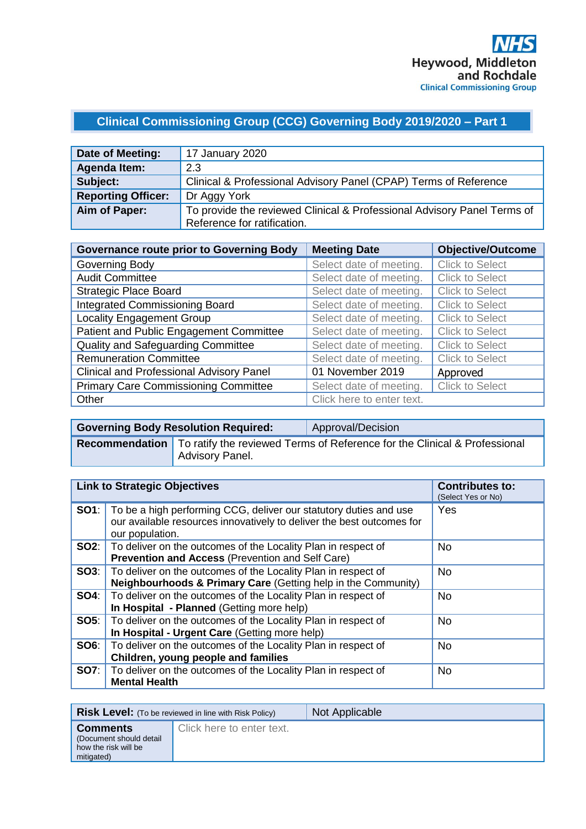# **Clinical Commissioning Group (CCG) Governing Body 2019/2020 – Part 1**

| Date of Meeting:          | 17 January 2020                                                         |
|---------------------------|-------------------------------------------------------------------------|
| Agenda Item:              | 2.3                                                                     |
| Subject:                  | Clinical & Professional Advisory Panel (CPAP) Terms of Reference        |
| <b>Reporting Officer:</b> | Dr Aggy York                                                            |
| Aim of Paper:             | To provide the reviewed Clinical & Professional Advisory Panel Terms of |
|                           | Reference for ratification.                                             |

| <b>Governance route prior to Governing Body</b> | <b>Meeting Date</b>       | <b>Objective/Outcome</b> |
|-------------------------------------------------|---------------------------|--------------------------|
| Governing Body                                  | Select date of meeting.   | <b>Click to Select</b>   |
| <b>Audit Committee</b>                          | Select date of meeting.   | <b>Click to Select</b>   |
| <b>Strategic Place Board</b>                    | Select date of meeting.   | <b>Click to Select</b>   |
| <b>Integrated Commissioning Board</b>           | Select date of meeting.   | <b>Click to Select</b>   |
| <b>Locality Engagement Group</b>                | Select date of meeting.   | <b>Click to Select</b>   |
| Patient and Public Engagement Committee         | Select date of meeting.   | <b>Click to Select</b>   |
| <b>Quality and Safeguarding Committee</b>       | Select date of meeting.   | <b>Click to Select</b>   |
| <b>Remuneration Committee</b>                   | Select date of meeting.   | <b>Click to Select</b>   |
| <b>Clinical and Professional Advisory Panel</b> | 01 November 2019          | Approved                 |
| <b>Primary Care Commissioning Committee</b>     | Select date of meeting.   | <b>Click to Select</b>   |
| Other                                           | Click here to enter text. |                          |

| <b>Governing Body Resolution Required:</b> |                 | Approval/Decision                                                                                 |
|--------------------------------------------|-----------------|---------------------------------------------------------------------------------------------------|
|                                            | Advisory Panel. | <b>Recommendation</b>   To ratify the reviewed Terms of Reference for the Clinical & Professional |

| <b>Link to Strategic Objectives</b> |                                                                                                                                                               | <b>Contributes to:</b><br>(Select Yes or No) |
|-------------------------------------|---------------------------------------------------------------------------------------------------------------------------------------------------------------|----------------------------------------------|
| SO1:                                | To be a high performing CCG, deliver our statutory duties and use<br>our available resources innovatively to deliver the best outcomes for<br>our population. | Yes                                          |
|                                     | <b>SO2:</b>   To deliver on the outcomes of the Locality Plan in respect of<br><b>Prevention and Access (Prevention and Self Care)</b>                        | No.                                          |
| SO3:                                | To deliver on the outcomes of the Locality Plan in respect of<br><b>Neighbourhoods &amp; Primary Care (Getting help in the Community)</b>                     | <b>No</b>                                    |
| <b>SO4:</b>                         | To deliver on the outcomes of the Locality Plan in respect of<br>In Hospital - Planned (Getting more help)                                                    | <b>No</b>                                    |
| SO5:                                | To deliver on the outcomes of the Locality Plan in respect of<br>In Hospital - Urgent Care (Getting more help)                                                | <b>No</b>                                    |
| SO6:                                | To deliver on the outcomes of the Locality Plan in respect of<br>Children, young people and families                                                          | <b>No</b>                                    |
| <b>SO7:</b>                         | To deliver on the outcomes of the Locality Plan in respect of<br><b>Mental Health</b>                                                                         | <b>No</b>                                    |

| <b>Risk Level:</b> (To be reviewed in line with Risk Policy)                      |                           | Not Applicable |
|-----------------------------------------------------------------------------------|---------------------------|----------------|
| <b>Comments</b><br>(Document should detail)<br>how the risk will be<br>mitigated) | Click here to enter text. |                |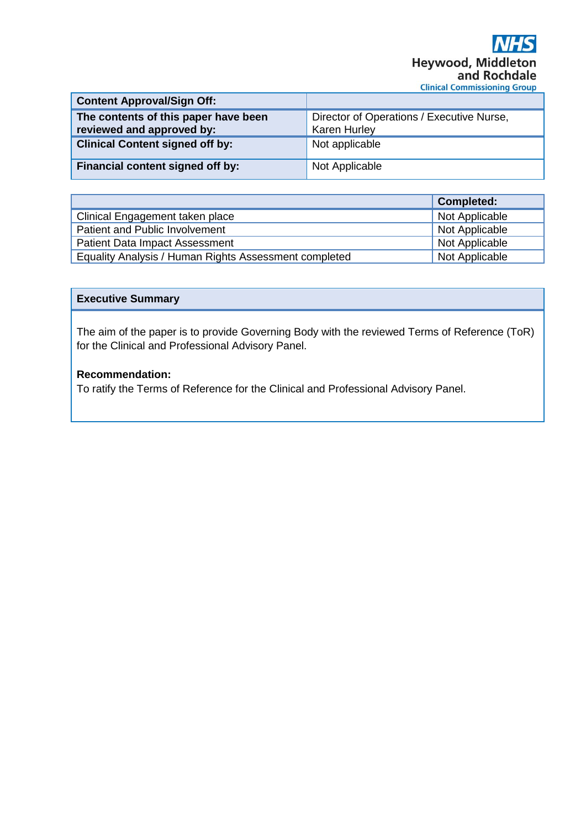| <b>Content Approval/Sign Off:</b>                                 |                                                                  |
|-------------------------------------------------------------------|------------------------------------------------------------------|
| The contents of this paper have been<br>reviewed and approved by: | Director of Operations / Executive Nurse,<br><b>Karen Hurley</b> |
| <b>Clinical Content signed off by:</b>                            | Not applicable                                                   |
| Financial content signed off by:                                  | Not Applicable                                                   |

|                                                       | <b>Completed:</b> |
|-------------------------------------------------------|-------------------|
| Clinical Engagement taken place                       | Not Applicable    |
| Patient and Public Involvement                        | Not Applicable    |
| <b>Patient Data Impact Assessment</b>                 | Not Applicable    |
| Equality Analysis / Human Rights Assessment completed | Not Applicable    |

### **Executive Summary**

The aim of the paper is to provide Governing Body with the reviewed Terms of Reference (ToR) for the Clinical and Professional Advisory Panel.

# **Recommendation:**

To ratify the Terms of Reference for the Clinical and Professional Advisory Panel.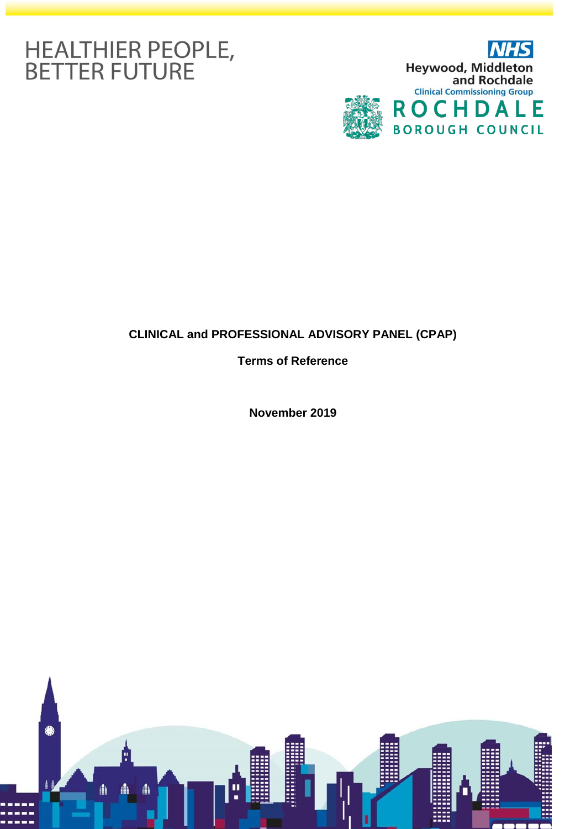# HEALTHIER PEOPLE,<br>BETTER FUTURE



# **CLINICAL and PROFESSIONAL ADVISORY PANEL (CPAP)**

**Terms of Reference**

**November 2019**

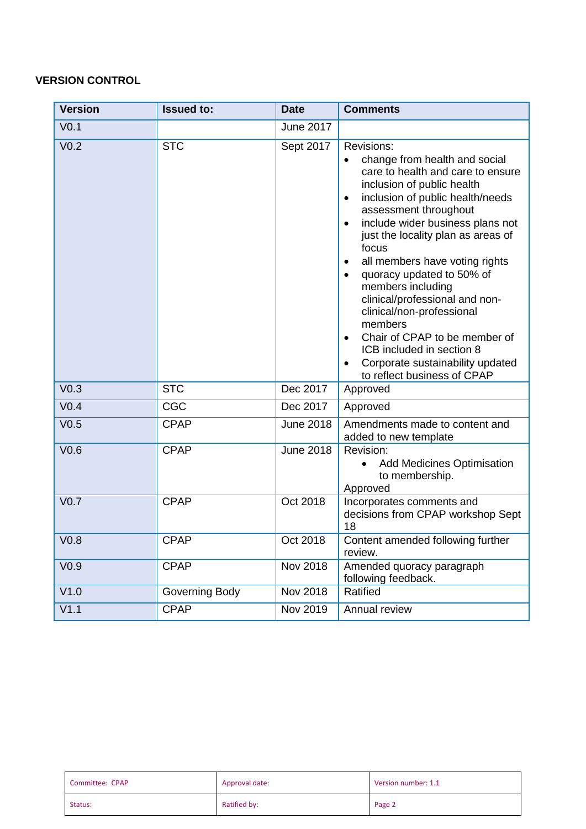# **VERSION CONTROL**

| <b>Version</b>   | <b>Issued to:</b> | <b>Date</b>      | <b>Comments</b>                                                                                                                                                                                                                                                                                                                                                                                                                                                                                                                                                                                                                                    |
|------------------|-------------------|------------------|----------------------------------------------------------------------------------------------------------------------------------------------------------------------------------------------------------------------------------------------------------------------------------------------------------------------------------------------------------------------------------------------------------------------------------------------------------------------------------------------------------------------------------------------------------------------------------------------------------------------------------------------------|
| V <sub>0.1</sub> |                   | <b>June 2017</b> |                                                                                                                                                                                                                                                                                                                                                                                                                                                                                                                                                                                                                                                    |
| V <sub>0.2</sub> | <b>STC</b>        | Sept 2017        | <b>Revisions:</b><br>change from health and social<br>$\bullet$<br>care to health and care to ensure<br>inclusion of public health<br>inclusion of public health/needs<br>$\bullet$<br>assessment throughout<br>include wider business plans not<br>just the locality plan as areas of<br>focus<br>all members have voting rights<br>$\bullet$<br>quoracy updated to 50% of<br>$\bullet$<br>members including<br>clinical/professional and non-<br>clinical/non-professional<br>members<br>Chair of CPAP to be member of<br>$\bullet$<br>ICB included in section 8<br>Corporate sustainability updated<br>$\bullet$<br>to reflect business of CPAP |
| V <sub>0.3</sub> | <b>STC</b>        | Dec 2017         | Approved                                                                                                                                                                                                                                                                                                                                                                                                                                                                                                                                                                                                                                           |
| V <sub>0.4</sub> | CGC               | Dec 2017         | Approved                                                                                                                                                                                                                                                                                                                                                                                                                                                                                                                                                                                                                                           |
| V <sub>0.5</sub> | <b>CPAP</b>       | <b>June 2018</b> | Amendments made to content and<br>added to new template                                                                                                                                                                                                                                                                                                                                                                                                                                                                                                                                                                                            |
| V <sub>0.6</sub> | <b>CPAP</b>       | <b>June 2018</b> | Revision:<br><b>Add Medicines Optimisation</b><br>$\bullet$<br>to membership.<br>Approved                                                                                                                                                                                                                                                                                                                                                                                                                                                                                                                                                          |
| V <sub>0.7</sub> | <b>CPAP</b>       | Oct 2018         | Incorporates comments and<br>decisions from CPAP workshop Sept<br>18                                                                                                                                                                                                                                                                                                                                                                                                                                                                                                                                                                               |
| V <sub>0.8</sub> | <b>CPAP</b>       | Oct 2018         | Content amended following further<br>review.                                                                                                                                                                                                                                                                                                                                                                                                                                                                                                                                                                                                       |
| V <sub>0.9</sub> | <b>CPAP</b>       | Nov 2018         | Amended quoracy paragraph<br>following feedback.                                                                                                                                                                                                                                                                                                                                                                                                                                                                                                                                                                                                   |
| V1.0             | Governing Body    | Nov 2018         | Ratified                                                                                                                                                                                                                                                                                                                                                                                                                                                                                                                                                                                                                                           |
| V1.1             | <b>CPAP</b>       | Nov 2019         | Annual review                                                                                                                                                                                                                                                                                                                                                                                                                                                                                                                                                                                                                                      |

| Committee: CPAP | Approval date: | Version number: 1.1 |
|-----------------|----------------|---------------------|
| Status:         | Ratified by:   | Page 2              |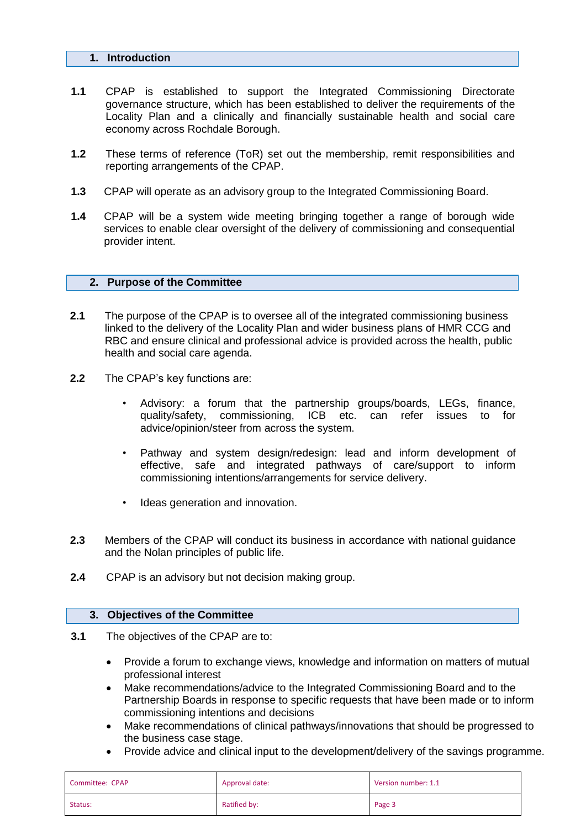#### **1. Introduction**

- **1.1** CPAP is established to support the Integrated Commissioning Directorate governance structure, which has been established to deliver the requirements of the Locality Plan and a clinically and financially sustainable health and social care economy across Rochdale Borough.
- **1.2** These terms of reference (ToR) set out the membership, remit responsibilities and reporting arrangements of the CPAP.
- **1.3** CPAP will operate as an advisory group to the Integrated Commissioning Board.
- **1.4** CPAP will be a system wide meeting bringing together a range of borough wide services to enable clear oversight of the delivery of commissioning and consequential provider intent.

#### **2. Purpose of the Committee**

- **2.1** The purpose of the CPAP is to oversee all of the integrated commissioning business linked to the delivery of the Locality Plan and wider business plans of HMR CCG and RBC and ensure clinical and professional advice is provided across the health, public health and social care agenda.
- **2.2** The CPAP's key functions are:
	- Advisory: a forum that the partnership groups/boards, LEGs, finance, quality/safety, commissioning, ICB etc. can refer issues to for advice/opinion/steer from across the system.
	- Pathway and system design/redesign: lead and inform development of effective, safe and integrated pathways of care/support to inform commissioning intentions/arrangements for service delivery.
	- Ideas generation and innovation.
- **2.3** Members of the CPAP will conduct its business in accordance with national guidance and the Nolan principles of public life.
- **2.4** CPAP is an advisory but not decision making group.

#### **3. Objectives of the Committee**

- **3.1** The objectives of the CPAP are to:
	- Provide a forum to exchange views, knowledge and information on matters of mutual professional interest
	- Make recommendations/advice to the Integrated Commissioning Board and to the Partnership Boards in response to specific requests that have been made or to inform commissioning intentions and decisions
	- Make recommendations of clinical pathways/innovations that should be progressed to the business case stage.
	- Provide advice and clinical input to the development/delivery of the savings programme.

| Committee: CPAP | Approval date: | Version number: 1.1 |
|-----------------|----------------|---------------------|
| Status:         | Ratified by:   | Page 3              |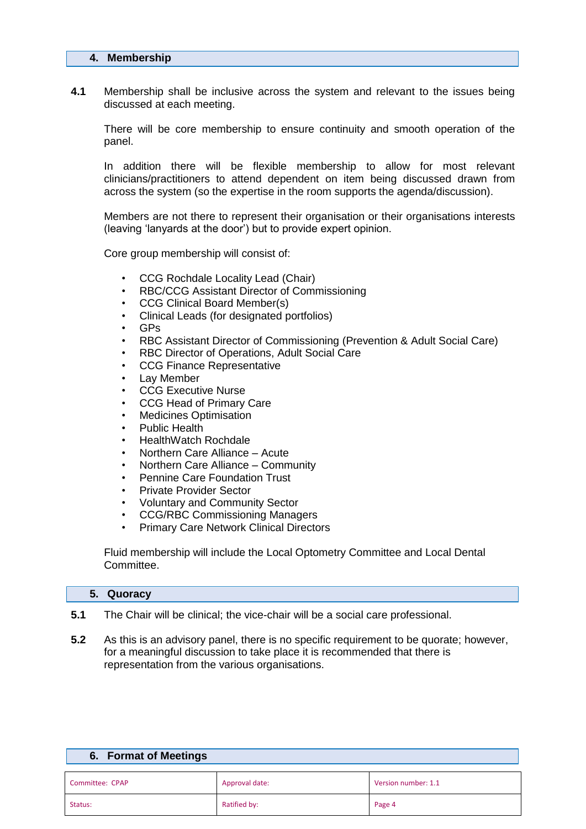#### **4. Membership**

**4.1** Membership shall be inclusive across the system and relevant to the issues being discussed at each meeting.

There will be core membership to ensure continuity and smooth operation of the panel.

In addition there will be flexible membership to allow for most relevant clinicians/practitioners to attend dependent on item being discussed drawn from across the system (so the expertise in the room supports the agenda/discussion).

Members are not there to represent their organisation or their organisations interests (leaving 'lanyards at the door') but to provide expert opinion.

Core group membership will consist of:

- CCG Rochdale Locality Lead (Chair)
- RBC/CCG Assistant Director of Commissioning
- CCG Clinical Board Member(s)
- Clinical Leads (for designated portfolios)
- GPs
- RBC Assistant Director of Commissioning (Prevention & Adult Social Care)
- RBC Director of Operations, Adult Social Care
- CCG Finance Representative
- Lay Member
- CCG Executive Nurse
- CCG Head of Primary Care
- Medicines Optimisation
- Public Health
- HealthWatch Rochdale
- Northern Care Alliance Acute
- Northern Care Alliance Community
- Pennine Care Foundation Trust
- Private Provider Sector
- Voluntary and Community Sector
- CCG/RBC Commissioning Managers
- Primary Care Network Clinical Directors

Fluid membership will include the Local Optometry Committee and Local Dental Committee.

#### **5. Quoracy**

**6. Format of Meetings** 

- **5.1** The Chair will be clinical; the vice-chair will be a social care professional.
- **5.2** As this is an advisory panel, there is no specific requirement to be quorate; however, for a meaningful discussion to take place it is recommended that there is representation from the various organisations.

| <b>0. FUITILAL OF IVICELITIUS</b> |                |                     |
|-----------------------------------|----------------|---------------------|
| Committee: CPAP                   | Approval date: | Version number: 1.1 |
| Status:                           | Ratified by:   | Page 4              |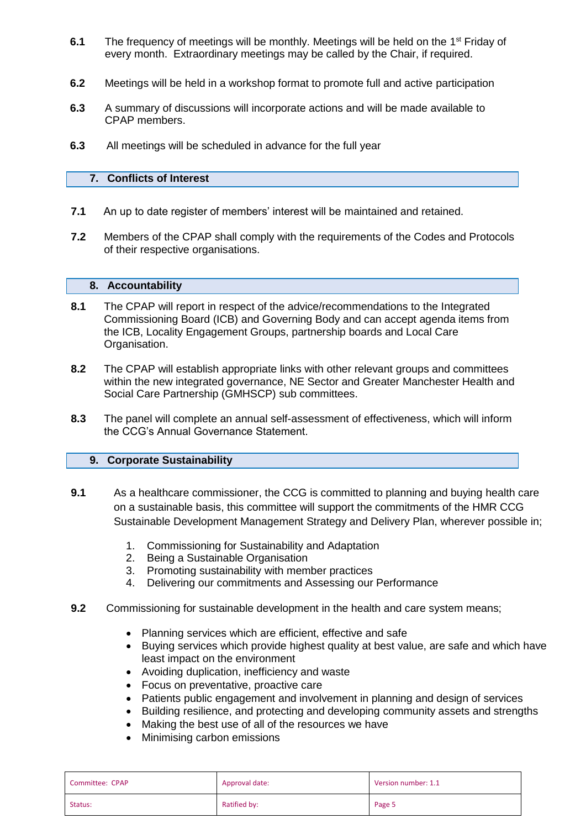- 6.1 The frequency of meetings will be monthly. Meetings will be held on the 1<sup>st</sup> Friday of every month. Extraordinary meetings may be called by the Chair, if required.
- **6.2** Meetings will be held in a workshop format to promote full and active participation
- **6.3** A summary of discussions will incorporate actions and will be made available to CPAP members.
- **6.3** All meetings will be scheduled in advance for the full year

# **7. Conflicts of Interest**

- **7.1** An up to date register of members' interest will be maintained and retained.
- **7.2** Members of the CPAP shall comply with the requirements of the Codes and Protocols of their respective organisations.

## **8. Accountability**

- **8.1** The CPAP will report in respect of the advice/recommendations to the Integrated Commissioning Board (ICB) and Governing Body and can accept agenda items from the ICB, Locality Engagement Groups, partnership boards and Local Care Organisation.
- **8.2** The CPAP will establish appropriate links with other relevant groups and committees within the new integrated governance, NE Sector and Greater Manchester Health and Social Care Partnership (GMHSCP) sub committees.
- **8.3** The panel will complete an annual self-assessment of effectiveness, which will inform the CCG's Annual Governance Statement.

# **9. Corporate Sustainability**

- **9.1** As a healthcare commissioner, the CCG is committed to planning and buying health care on a sustainable basis, this committee will support the commitments of the HMR CCG Sustainable Development Management Strategy and Delivery Plan, wherever possible in;
	- 1. Commissioning for Sustainability and Adaptation
	- 2. Being a Sustainable Organisation
	- 3. Promoting sustainability with member practices
	- 4. Delivering our commitments and Assessing our Performance
- **9.2** Commissioning for sustainable development in the health and care system means;
	- Planning services which are efficient, effective and safe
	- Buying services which provide highest quality at best value, are safe and which have least impact on the environment
	- Avoiding duplication, inefficiency and waste
	- Focus on preventative, proactive care
	- Patients public engagement and involvement in planning and design of services
	- Building resilience, and protecting and developing community assets and strengths
	- Making the best use of all of the resources we have
	- Minimising carbon emissions

| Committee: CPAP | Approval date: | Version number: 1.1 |
|-----------------|----------------|---------------------|
| Status:         | Ratified by:   | Page 5              |